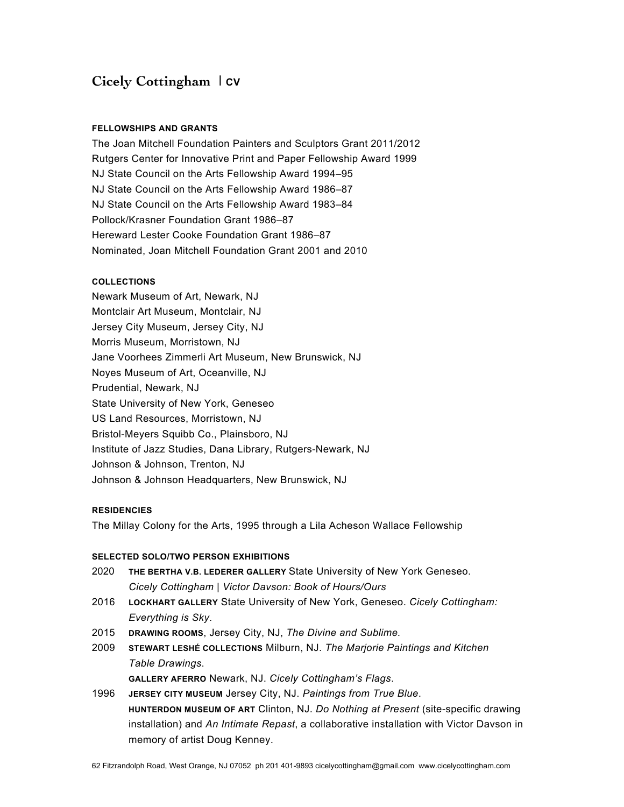# **Cicely Cottingham | CV**

## **FELLOWSHIPS AND GRANTS**

The Joan Mitchell Foundation Painters and Sculptors Grant 2011/2012 Rutgers Center for Innovative Print and Paper Fellowship Award 1999 NJ State Council on the Arts Fellowship Award 1994–95 NJ State Council on the Arts Fellowship Award 1986–87 NJ State Council on the Arts Fellowship Award 1983–84 Pollock/Krasner Foundation Grant 1986–87 Hereward Lester Cooke Foundation Grant 1986–87 Nominated, Joan Mitchell Foundation Grant 2001 and 2010

## **COLLECTIONS**

Newark Museum of Art, Newark, NJ Montclair Art Museum, Montclair, NJ Jersey City Museum, Jersey City, NJ Morris Museum, Morristown, NJ Jane Voorhees Zimmerli Art Museum, New Brunswick, NJ Noyes Museum of Art, Oceanville, NJ Prudential, Newark, NJ State University of New York, Geneseo US Land Resources, Morristown, NJ Bristol-Meyers Squibb Co., Plainsboro, NJ Institute of Jazz Studies, Dana Library, Rutgers-Newark, NJ Johnson & Johnson, Trenton, NJ Johnson & Johnson Headquarters, New Brunswick, NJ

## **RESIDENCIES**

The Millay Colony for the Arts, 1995 through a Lila Acheson Wallace Fellowship

## **SELECTED SOLO/TWO PERSON EXHIBITIONS**

- 2020 **THE BERTHA V.B. LEDERER GALLERY** State University of New York Geneseo. *Cicely Cottingham | Victor Davson: Book of Hours/Ours*
- 2016 **LOCKHART GALLERY** State University of New York, Geneseo. *Cicely Cottingham: Everything is Sky*.
- 2015 **DRAWING ROOMS**, Jersey City, NJ, *The Divine and Sublime.*
- 2009 **STEWART LESHÉ COLLECTIONS** Milburn, NJ. *The Marjorie Paintings and Kitchen Table Drawings*.

**GALLERY AFERRO** Newark, NJ. *Cicely Cottingham's Flags*.

1996 **JERSEY CITY MUSEUM** Jersey City, NJ. *Paintings from True Blue*. **HUNTERDON MUSEUM OF ART** Clinton, NJ. *Do Nothing at Present* (site-specific drawing installation) and *An Intimate Repast*, a collaborative installation with Victor Davson in memory of artist Doug Kenney.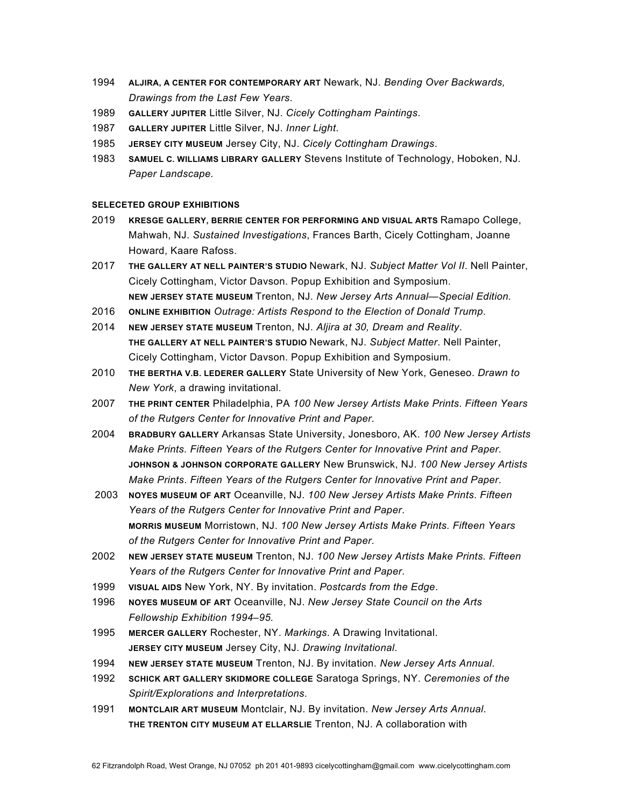- 1994 **ALJIRA, A CENTER FOR CONTEMPORARY ART** Newark, NJ. *Bending Over Backwards, Drawings from the Last Few Years*.
- 1989 **GALLERY JUPITER** Little Silver, NJ. *Cicely Cottingham Paintings*.
- 1987 **GALLERY JUPITER** Little Silver, NJ. *Inner Light*.
- 1985 **JERSEY CITY MUSEUM** Jersey City, NJ. *Cicely Cottingham Drawings*.
- 1983 **SAMUEL C. WILLIAMS LIBRARY GALLERY** Stevens Institute of Technology, Hoboken, NJ. *Paper Landscape.*

#### **SELECETED GROUP EXHIBITIONS**

- 2019 **KRESGE GALLERY, BERRIE CENTER FOR PERFORMING AND VISUAL ARTS** Ramapo College, Mahwah, NJ. *Sustained Investigations*, Frances Barth, Cicely Cottingham, Joanne Howard, Kaare Rafoss.
- 2017 **THE GALLERY AT NELL PAINTER'S STUDIO** Newark, NJ. *Subject Matter Vol II*. Nell Painter, Cicely Cottingham, Victor Davson. Popup Exhibition and Symposium. **NEW JERSEY STATE MUSEUM** Trenton, NJ. *New Jersey Arts Annual—Special Edition.*
- 2016 **ONLINE EXHIBITION** *Outrage: Artists Respond to the Election of Donald Trump*.
- 2014 **NEW JERSEY STATE MUSEUM** Trenton, NJ. *Aljira at 30, Dream and Reality*. **THE GALLERY AT NELL PAINTER'S STUDIO** Newark, NJ. *Subject Matter*. Nell Painter, Cicely Cottingham, Victor Davson. Popup Exhibition and Symposium.
- 2010 **THE BERTHA V.B. LEDERER GALLERY** State University of New York, Geneseo. *Drawn to New York*, a drawing invitational.
- 2007 **THE PRINT CENTER** Philadelphia, PA *100 New Jersey Artists Make Prints*. *Fifteen Years of the Rutgers Center for Innovative Print and Paper*.
- 2004 **BRADBURY GALLERY** Arkansas State University, Jonesboro, AK. *100 New Jersey Artists Make Prints. Fifteen Years of the Rutgers Center for Innovative Print and Paper.* **JOHNSON & JOHNSON CORPORATE GALLERY** New Brunswick, NJ. *100 New Jersey Artists Make Prints*. *Fifteen Years of the Rutgers Center for Innovative Print and Paper*.
- 2003 **NOYES MUSEUM OF ART** Oceanville, NJ. *100 New Jersey Artists Make Prints*. *Fifteen Years of the Rutgers Center for Innovative Print and Paper*. **MORRIS MUSEUM** Morristown, NJ. *100 New Jersey Artists Make Prints. Fifteen Years of the Rutgers Center for Innovative Print and Paper*.
- 2002 **NEW JERSEY STATE MUSEUM** Trenton, NJ. *100 New Jersey Artists Make Prints. Fifteen Years of the Rutgers Center for Innovative Print and Paper*.
- 1999 **VISUAL AIDS** New York, NY. By invitation. *Postcards from the Edge*.
- 1996 **NOYES MUSEUM OF ART** Oceanville, NJ. *New Jersey State Council on the Arts Fellowship Exhibition 1994–95.*
- 1995 **MERCER GALLERY** Rochester, NY. *Markings*. A Drawing Invitational. **JERSEY CITY MUSEUM** Jersey City, NJ. *Drawing Invitational*.
- 1994 **NEW JERSEY STATE MUSEUM** Trenton, NJ. By invitation. *New Jersey Arts Annual*.
- 1992 **SCHICK ART GALLERY SKIDMORE COLLEGE** Saratoga Springs, NY. *Ceremonies of the Spirit/Explorations and Interpretations*.
- 1991 **MONTCLAIR ART MUSEUM** Montclair, NJ. By invitation. *New Jersey Arts Annual*. **THE TRENTON CITY MUSEUM AT ELLARSLIE** Trenton, NJ. A collaboration with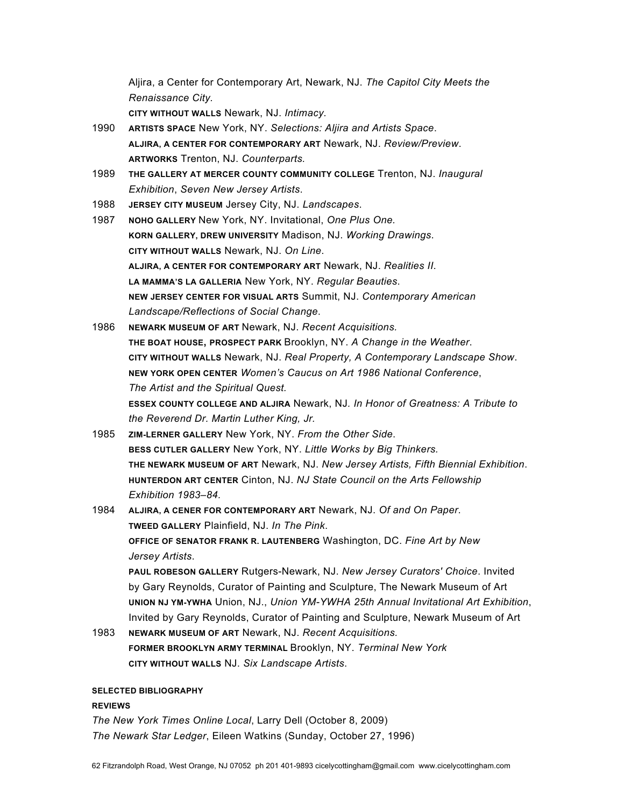Aljira, a Center for Contemporary Art, Newark, NJ. *The Capitol City Meets the Renaissance City.*

**CITY WITHOUT WALLS** Newark, NJ. *Intimacy.*

- 1990 **ARTISTS SPACE** New York, NY. *Selections: Aljira and Artists Space*. **ALJIRA, A CENTER FOR CONTEMPORARY ART** Newark, NJ. *Review/Preview*. **ARTWORKS** Trenton, NJ. *Counterparts.*
- 1989 **THE GALLERY AT MERCER COUNTY COMMUNITY COLLEGE** Trenton, NJ. *Inaugural Exhibition*, *Seven New Jersey Artists*.
- 1988 **JERSEY CITY MUSEUM** Jersey City, NJ. *Landscapes*.
- 1987 **NOHO GALLERY** New York, NY. Invitational, *One Plus One.* **KORN GALLERY, DREW UNIVERSITY** Madison, NJ. *Working Drawings*. **CITY WITHOUT WALLS** Newark, NJ. *On Line*. **ALJIRA, A CENTER FOR CONTEMPORARY ART** Newark, NJ. *Realities II*. **LA MAMMA'S LA GALLERIA** New York, NY. *Regular Beauties*. **NEW JERSEY CENTER FOR VISUAL ARTS** Summit, NJ. *Contemporary American Landscape/Reflections of Social Change*.
- 1986 **NEWARK MUSEUM OF ART** Newark, NJ. *Recent Acquisitions.* **THE BOAT HOUSE, PROSPECT PARK** Brooklyn, NY. *A Change in the Weather*. **CITY WITHOUT WALLS** Newark, NJ. *Real Property, A Contemporary Landscape Show*. **NEW YORK OPEN CENTER** *Women's Caucus on Art 1986 National Conference*, *The Artist and the Spiritual Quest.* **ESSEX COUNTY COLLEGE AND ALJIRA** Newark, NJ*. In Honor of Greatness: A Tribute to the Reverend Dr. Martin Luther King, Jr.*
- 1985 **ZIM-LERNER GALLERY** New York, NY. *From the Other Side*. **BESS CUTLER GALLERY** New York, NY. *Little Works by Big Thinkers.* **THE NEWARK MUSEUM OF ART** Newark, NJ. *New Jersey Artists, Fifth Biennial Exhibition*. **HUNTERDON ART CENTER** Cinton, NJ. *NJ State Council on the Arts Fellowship Exhibition 1983–84.*
- 1984 **ALJIRA, A CENER FOR CONTEMPORARY ART** Newark, NJ. *Of and On Paper*. **TWEED GALLERY** Plainfield, NJ. *In The Pink*. **OFFICE OF SENATOR FRANK R. LAUTENBERG** Washington, DC. *Fine Art by New Jersey Artists*.

**PAUL ROBESON GALLERY** Rutgers-Newark, NJ. *New Jersey Curators' Choice*. Invited by Gary Reynolds, Curator of Painting and Sculpture, The Newark Museum of Art **UNION NJ YM-YWHA** Union, NJ., *Union YM-YWHA 25th Annual Invitational Art Exhibition*, Invited by Gary Reynolds, Curator of Painting and Sculpture, Newark Museum of Art

1983 **NEWARK MUSEUM OF ART** Newark, NJ. *Recent Acquisitions.* **FORMER BROOKLYN ARMY TERMINAL** Brooklyn, NY. *Terminal New York* **CITY WITHOUT WALLS** NJ. *Six Landscape Artists*.

#### **SELECTED BIBLIOGRAPHY**

# **REVIEWS**

*The New York Times Online Local*, Larry Dell (October 8, 2009) *The Newark Star Ledger*, Eileen Watkins (Sunday, October 27, 1996)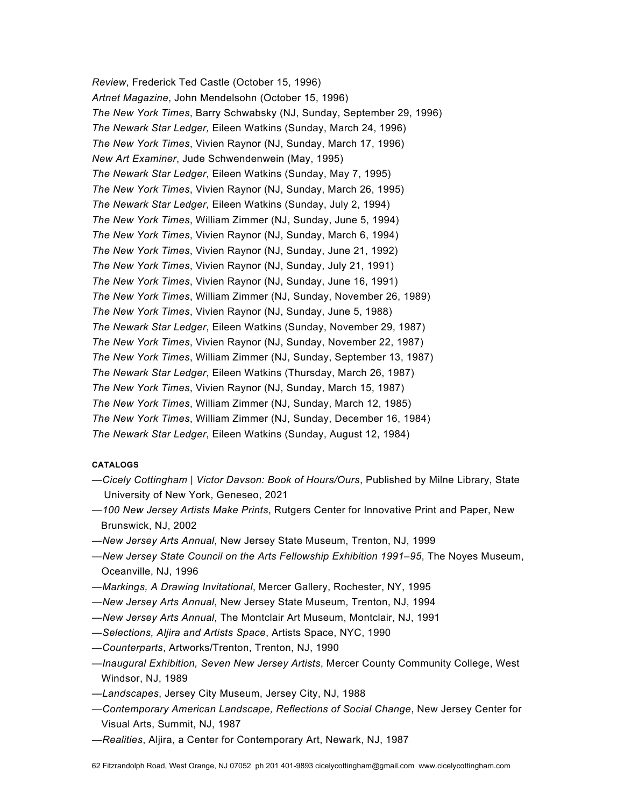*Review*, Frederick Ted Castle (October 15, 1996) *Artnet Magazine*, John Mendelsohn (October 15, 1996) *The New York Times*, Barry Schwabsky (NJ, Sunday, September 29, 1996) *The Newark Star Ledger,* Eileen Watkins (Sunday, March 24, 1996) *The New York Times*, Vivien Raynor (NJ, Sunday, March 17, 1996) *New Art Examiner*, Jude Schwendenwein (May, 1995) *The Newark Star Ledger*, Eileen Watkins (Sunday, May 7, 1995) *The New York Times*, Vivien Raynor (NJ, Sunday, March 26, 1995) *The Newark Star Ledger*, Eileen Watkins (Sunday, July 2, 1994) *The New York Times*, William Zimmer (NJ, Sunday, June 5, 1994) *The New York Times*, Vivien Raynor (NJ, Sunday, March 6, 1994) *The New York Times*, Vivien Raynor (NJ, Sunday, June 21, 1992) *The New York Times*, Vivien Raynor (NJ, Sunday, July 21, 1991) *The New York Times*, Vivien Raynor (NJ, Sunday, June 16, 1991) *The New York Times*, William Zimmer (NJ, Sunday, November 26, 1989) *The New York Times*, Vivien Raynor (NJ, Sunday, June 5, 1988) *The Newark Star Ledger*, Eileen Watkins (Sunday, November 29, 1987) *The New York Times*, Vivien Raynor (NJ, Sunday, November 22, 1987) *The New York Times*, William Zimmer (NJ, Sunday, September 13, 1987) *The Newark Star Ledger*, Eileen Watkins (Thursday, March 26, 1987) *The New York Times*, Vivien Raynor (NJ, Sunday, March 15, 1987) *The New York Times*, William Zimmer (NJ, Sunday, March 12, 1985) *The New York Times*, William Zimmer (NJ, Sunday, December 16, 1984) *The Newark Star Ledger*, Eileen Watkins (Sunday, August 12, 1984)

#### **CATALOGS**

- —*Cicely Cottingham | Victor Davson: Book of Hours/Ours*, Published by Milne Library, State University of New York, Geneseo, 2021
- —*100 New Jersey Artists Make Prints*, Rutgers Center for Innovative Print and Paper, New Brunswick, NJ, 2002
- —*New Jersey Arts Annual*, New Jersey State Museum, Trenton, NJ, 1999
- —*New Jersey State Council on the Arts Fellowship Exhibition 1991–95*, The Noyes Museum, Oceanville, NJ, 1996
- —*Markings, A Drawing Invitational*, Mercer Gallery, Rochester, NY, 1995
- —*New Jersey Arts Annual*, New Jersey State Museum, Trenton, NJ, 1994
- —*New Jersey Arts Annual*, The Montclair Art Museum, Montclair, NJ, 1991
- —*Selections, Aljira and Artists Space*, Artists Space, NYC, 1990
- —*Counterparts*, Artworks/Trenton, Trenton, NJ, 1990
- —*Inaugural Exhibition, Seven New Jersey Artists*, Mercer County Community College, West Windsor, NJ, 1989
- —*Landscapes*, Jersey City Museum, Jersey City, NJ, 1988
- —*Contemporary American Landscape, Reflections of Social Change*, New Jersey Center for Visual Arts, Summit, NJ, 1987
- —*Realities*, Aljira, a Center for Contemporary Art, Newark, NJ, 1987